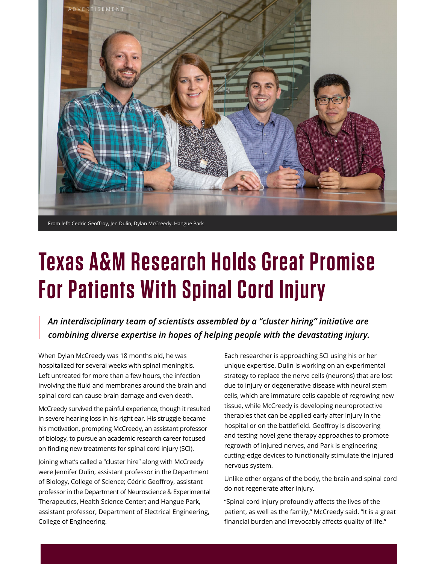

## **Texas A&M Research Holds Great Promise For Patients With Spinal Cord Injury**

An interdisciplinary team of scientists assembled by a "cluster hiring" initiative are combining diverse expertise in hopes of helping people with the devastating injury.

When Dylan McCreedy was 18 months old, he was hospitalized for several weeks with spinal meningitis. Left untreated for more than a few hours, the infection involving the fluid and membranes around the brain and spinal cord can cause brain damage and even death.

McCreedy survived the painful experience, though it resulted in severe hearing loss in his right ear. His struggle became his motivation, prompting McCreedy, an assistant professor of biology, to pursue an academic research career focused on finding new treatments for spinal cord injury (SCI).

Joining what's called a "cluster hire" along with McCreedy were Jennifer Dulin, assistant professor in the Department of Biology, College of Science; Cédric Geoffroy, assistant professor in the Department of Neuroscience & Experimental Therapeutics, Health Science Center; and Hangue Park, assistant professor, Department of Electrical Engineering, College of Engineering.

Each researcher is approaching SCI using his or her unique expertise. Dulin is working on an experimental strategy to replace the nerve cells (neurons) that are lost due to injury or degenerative disease with neural stem cells, which are immature cells capable of regrowing new tissue, while McCreedy is developing neuroprotective therapies that can be applied early after injury in the hospital or on the battlefield. Geoffroy is discovering and testing novel gene therapy approaches to promote regrowth of injured nerves, and Park is engineering cutting-edge devices to functionally stimulate the injured nervous system.

Unlike other organs of the body, the brain and spinal cord do not regenerate after injury.

"Spinal cord injury profoundly affects the lives of the patient, as well as the family," McCreedy said. "It is a great financial burden and irrevocably affects quality of life."